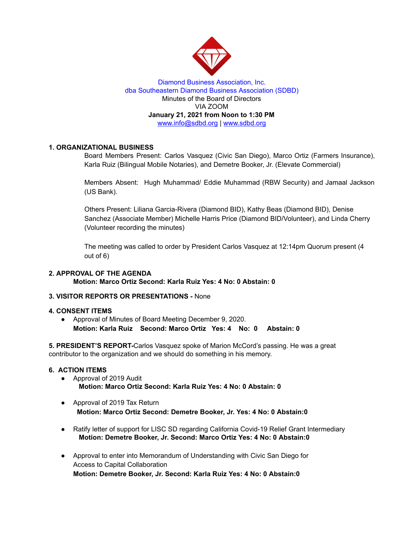

## Diamond Business Association, Inc. dba Southeastern Diamond Business Association (SDBD) Minutes of the Board of Directors VIA ZOOM **January 21, 2021 from Noon to 1:30 PM** www.info@sdbd.org | [www.sdbd.org](http://www.sdbd.org/)

# **1. ORGANIZATIONAL BUSINESS**

Board Members Present: Carlos Vasquez (Civic San Diego), Marco Ortiz (Farmers Insurance), Karla Ruiz (Bilingual Mobile Notaries), and Demetre Booker, Jr. (Elevate Commercial)

Members Absent: Hugh Muhammad/ Eddie Muhammad (RBW Security) and Jamaal Jackson (US Bank).

Others Present: Liliana Garcia-Rivera (Diamond BID), Kathy Beas (Diamond BID), Denise Sanchez (Associate Member) Michelle Harris Price (Diamond BID/Volunteer), and Linda Cherry (Volunteer recording the minutes)

The meeting was called to order by President Carlos Vasquez at 12:14pm Quorum present (4 out of 6)

## **2. APPROVAL OF THE AGENDA Motion: Marco Ortiz Second: Karla Ruiz Yes: 4 No: 0 Abstain: 0**

## **3. VISITOR REPORTS OR PRESENTATIONS -** None

#### **4. CONSENT ITEMS**

● Approval of Minutes of Board Meeting December 9, 2020. **Motion: Karla Ruiz Second: Marco Ortiz Yes: 4 No: 0 Abstain: 0**

**5. PRESIDENT'S REPORT-**Carlos Vasquez spoke of Marion McCord's passing. He was a great contributor to the organization and we should do something in his memory.

#### **6. ACTION ITEMS**

- Approval of 2019 Audit **Motion: Marco Ortiz Second: Karla Ruiz Yes: 4 No: 0 Abstain: 0**
- Approval of 2019 Tax Return **Motion: Marco Ortiz Second: Demetre Booker, Jr. Yes: 4 No: 0 Abstain:0**
- Ratify letter of support for LISC SD regarding California Covid-19 Relief Grant Intermediary **Motion: Demetre Booker, Jr. Second: Marco Ortiz Yes: 4 No: 0 Abstain:0**
- Approval to enter into Memorandum of Understanding with Civic San Diego for Access to Capital Collaboration **Motion: Demetre Booker, Jr. Second: Karla Ruiz Yes: 4 No: 0 Abstain:0**